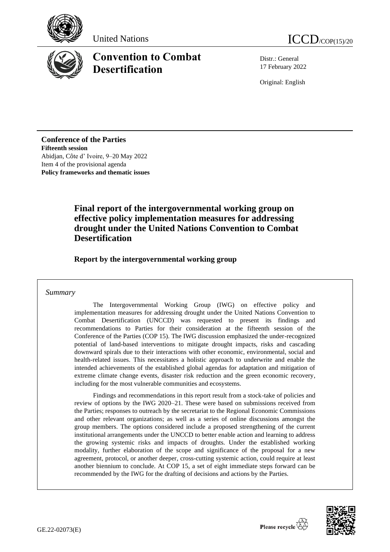





# **Convention to Combat Desertification**

Distr.: General 17 February 2022

Original: English

**Conference of the Parties Fifteenth session** Abidjan, Côte d' Ivoire, 9–20 May 2022 Item 4 of the provisional agenda **Policy frameworks and thematic issues**

# **Final report of the intergovernmental working group on effective policy implementation measures for addressing drought under the United Nations Convention to Combat Desertification**

**Report by the intergovernmental working group**

### *Summary*

The Intergovernmental Working Group (IWG) on effective policy and implementation measures for addressing drought under the United Nations Convention to Combat Desertification (UNCCD) was requested to present its findings and recommendations to Parties for their consideration at the fifteenth session of the Conference of the Parties (COP 15). The IWG discussion emphasized the under-recognized potential of land-based interventions to mitigate drought impacts, risks and cascading downward spirals due to their interactions with other economic, environmental, social and health-related issues. This necessitates a holistic approach to underwrite and enable the intended achievements of the established global agendas for adaptation and mitigation of extreme climate change events, disaster risk reduction and the green economic recovery, including for the most vulnerable communities and ecosystems.

Findings and recommendations in this report result from a stock-take of policies and review of options by the IWG 2020–21. These were based on submissions received from the Parties; responses to outreach by the secretariat to the Regional Economic Commissions and other relevant organizations; as well as a series of online discussions amongst the group members. The options considered include a proposed strengthening of the current institutional arrangements under the UNCCD to better enable action and learning to address the growing systemic risks and impacts of droughts. Under the established working modality, further elaboration of the scope and significance of the proposal for a new agreement, protocol, or another deeper, cross-cutting systemic action, could require at least another biennium to conclude. At COP 15, a set of eight immediate steps forward can be recommended by the IWG for the drafting of decisions and actions by the Parties.

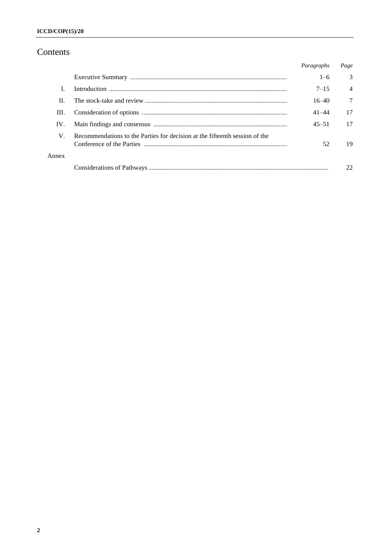# Contents

|       |                                                                             | Paragraphs | Page           |
|-------|-----------------------------------------------------------------------------|------------|----------------|
|       |                                                                             | $1 - 6$    | $\mathcal{E}$  |
|       |                                                                             | $7 - 15$   | $\overline{4}$ |
| Н.    |                                                                             | $16 - 40$  | 7              |
| III.  |                                                                             | $41 - 44$  | 17             |
| IV.   |                                                                             | $45 - 51$  | 17             |
| V.    | Recommendations to the Parties for decision at the fifteenth session of the | 52         | 19             |
| Annex |                                                                             |            |                |
|       |                                                                             |            | 22             |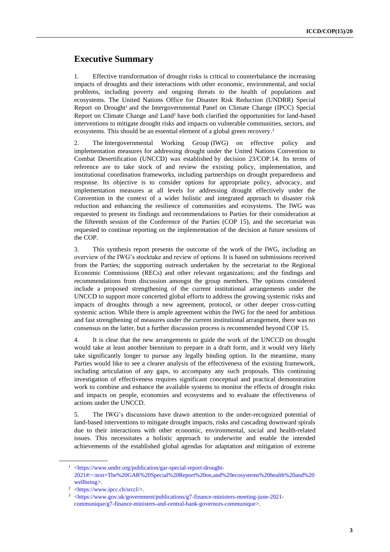# **Executive Summary**

1. Effective transformation of drought risks is critical to counterbalance the increasing impacts of droughts and their interactions with other economic, environmental, and social problems, including poverty and ongoing threats to the health of populations and ecosystems. The United Nations Office for Disaster Risk Reduction (UNDRR) Special Report on Drought<sup>1</sup> and the Intergovernmental Panel on Climate Change (IPCC) Special Report on Climate Change and Land <sup>2</sup> have both clarified the opportunities for land-based interventions to mitigate drought risks and impacts on vulnerable communities, sectors, and ecosystems. This should be an essential element of a global green recovery. 3

2. The Intergovernmental Working Group (IWG) on effective policy and implementation measures for addressing drought under the United Nations Convention to Combat Desertification (UNCCD) was established by decision 23/COP.14. Its terms of reference are to take stock of and review the existing policy, implementation, and institutional coordination frameworks, including partnerships on drought preparedness and response. Its objective is to consider options for appropriate policy, advocacy, and implementation measures at all levels for addressing drought effectively under the Convention in the context of a wider holistic and integrated approach to disaster risk reduction and enhancing the resilience of communities and ecosystems. The IWG was requested to present its findings and recommendations to Parties for their consideration at the fifteenth session of the Conference of the Parties (COP 15), and the secretariat was requested to continue reporting on the implementation of the decision at future sessions of the COP.

3. This synthesis report presents the outcome of the work of the IWG, including an overview of the IWG's stocktake and review of options. It is based on submissions received from the Parties; the supporting outreach undertaken by the secretariat to the Regional Economic Commissions (RECs) and other relevant organizations; and the findings and recommendations from discussion amongst the group members. The options considered include a proposed strengthening of the current institutional arrangements under the UNCCD to support more concerted global efforts to address the growing systemic risks and impacts of droughts through a new agreement, protocol, or other deeper cross-cutting systemic action. While there is ample agreement within the IWG for the need for ambitious and fast strengthening of measures under the current institutional arrangement, there was no consensus on the latter, but a further discussion process is recommended beyond COP 15.

4. It is clear that the new arrangements to guide the work of the UNCCD on drought would take at least another biennium to prepare in a draft form, and it would very likely take significantly longer to pursue any legally binding option. In the meantime, many Parties would like to see a clearer analysis of the effectiveness of the existing framework, including articulation of any gaps, to accompany any such proposals. This continuing investigation of effectiveness requires significant conceptual and practical demonstration work to combine and enhance the available systems to monitor the effects of drought risks and impacts on people, economies and ecosystems and to evaluate the effectiveness of actions under the UNCCD.

5. The IWG's discussions have drawn attention to the under-recognized potential of land-based interventions to mitigate drought impacts, risks and cascading downward spirals due to their interactions with other economic, environmental, social and health-related issues. This necessitates a holistic approach to underwrite and enable the intended achievements of the established global agendas for adaptation and mitigation of extreme

<sup>1</sup> [<https://www.undrr.org/publication/gar-special-report-drought-](https://www.undrr.org/publication/gar-special-report-drought-2021#:~:text=The%20GAR%20Special%20Report%20on,and%20ecosystems%20health%20and%20wellbeing)[2021#:~:text=The%20GAR%20Special%20Report%20on,and%20ecosystems%20health%20and%20](https://www.undrr.org/publication/gar-special-report-drought-2021#:~:text=The%20GAR%20Special%20Report%20on,and%20ecosystems%20health%20and%20wellbeing) [wellbeing>](https://www.undrr.org/publication/gar-special-report-drought-2021#:~:text=The%20GAR%20Special%20Report%20on,and%20ecosystems%20health%20and%20wellbeing).

<sup>2</sup> [<https://www.ipcc.ch/srccl/>](https://www.ipcc.ch/srccl/).

<sup>&</sup>lt;sup>3</sup> [<https://www.gov.uk/government/publications/g7-finance-ministers-meeting-june-2021](https://www.gov.uk/government/publications/g7-finance-ministers-meeting-june-2021-communique/g7-finance-ministers-and-central-bank-governors-communique) [communique/g7-finance-ministers-and-central-bank-governors-communique>](https://www.gov.uk/government/publications/g7-finance-ministers-meeting-june-2021-communique/g7-finance-ministers-and-central-bank-governors-communique).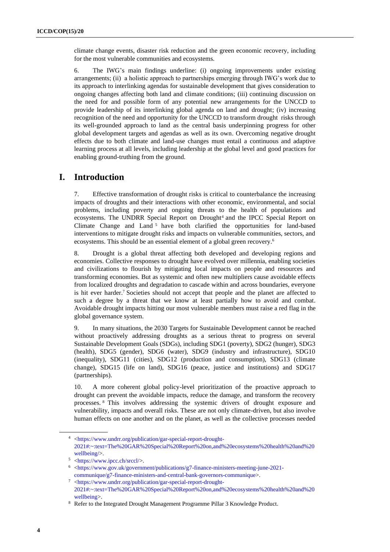climate change events, disaster risk reduction and the green economic recovery, including for the most vulnerable communities and ecosystems.

6. The IWG's main findings underline: (i) ongoing improvements under existing arrangements; (ii) a holistic approach to partnerships emerging through IWG's work due to its approach to interlinking agendas for sustainable development that gives consideration to ongoing changes affecting both land and climate conditions; (iii) continuing discussion on the need for and possible form of any potential new arrangements for the UNCCD to provide leadership of its interlinking global agenda on land and drought; (iv) increasing recognition of the need and opportunity for the UNCCD to transform drought risks through its well-grounded approach to land as the central basis underpinning progress for other global development targets and agendas as well as its own. Overcoming negative drought effects due to both climate and land-use changes must entail a continuous and adaptive learning process at all levels, including leadership at the global level and good practices for enabling ground-truthing from the ground.

## **I. Introduction**

7. Effective transformation of drought risks is critical to counterbalance the increasing impacts of droughts and their interactions with other economic, environmental, and social problems, including poverty and ongoing threats to the health of populations and ecosystems. The UNDRR Special Report on Drought<sup>4</sup> and the IPCC Special Report on Climate Change and Land <sup>5</sup> have both clarified the opportunities for land-based interventions to mitigate drought risks and impacts on vulnerable communities, sectors, and ecosystems. This should be an essential element of a global green recovery.<sup>6</sup>

8. Drought is a global threat affecting both developed and developing regions and economies. Collective responses to drought have evolved over millennia, enabling societies and civilizations to flourish by mitigating local impacts on people and resources and transforming economies. But as systemic and often new multipliers cause avoidable effects from localized droughts and degradation to cascade within and across boundaries, everyone is hit ever harder.<sup>7</sup> Societies should not accept that people and the planet are affected to such a degree by a threat that we know at least partially how to avoid and combat. Avoidable drought impacts hitting our most vulnerable members must raise a red flag in the global governance system.

9. In many situations, the 2030 Targets for Sustainable Development cannot be reached without proactively addressing droughts as a serious threat to progress on several Sustainable Development Goals (SDGs), including SDG1 (poverty), SDG2 (hunger), SDG3 (health), SDG5 (gender), SDG6 (water), SDG9 (industry and infrastructure), SDG10 (inequality), SDG11 (cities), SDG12 (production and consumption), SDG13 (climate change), SDG15 (life on land), SDG16 (peace, justice and institutions) and SDG17 (partnerships).

10. A more coherent global policy-level prioritization of the proactive approach to drought can prevent the avoidable impacts, reduce the damage, and transform the recovery processes. <sup>8</sup> This involves addressing the systemic drivers of drought exposure and vulnerability, impacts and overall risks. These are not only climate-driven, but also involve human effects on one another and on the planet, as well as the collective processes needed

<sup>4</sup> [<https://www.undrr.org/publication/gar-special-report-drought-](https://www.undrr.org/publication/gar-special-report-drought-2021#:~:text=The%20GAR%20Special%20Report%20on,and%20ecosystems%20health%20and%20wellbeing)[2021#:~:text=The%20GAR%20Special%20Report%20on,and%20ecosystems%20health%20and%20](https://www.undrr.org/publication/gar-special-report-drought-2021#:~:text=The%20GAR%20Special%20Report%20on,and%20ecosystems%20health%20and%20wellbeing) [wellbeing/>](https://www.undrr.org/publication/gar-special-report-drought-2021#:~:text=The%20GAR%20Special%20Report%20on,and%20ecosystems%20health%20and%20wellbeing).

<sup>5</sup> [<https://www.ipcc.ch/srccl/>](https://www.ipcc.ch/srccl/).

<sup>6</sup> [<https://www.gov.uk/government/publications/g7-finance-ministers-meeting-june-2021](https://www.gov.uk/government/publications/g7-finance-ministers-meeting-june-2021-communique/g7-finance-ministers-and-central-bank-governors-communique) [communique/g7-finance-ministers-and-central-bank-governors-communique>](https://www.gov.uk/government/publications/g7-finance-ministers-meeting-june-2021-communique/g7-finance-ministers-and-central-bank-governors-communique).

<sup>7</sup> [<https://www.undrr.org/publication/gar-special-report-drought-](https://www.undrr.org/publication/gar-special-report-drought-2021#:~:text=The%20GAR%20Special%20Report%20on,and%20ecosystems%20health%20and%20wellbeing)[2021#:~:text=The%20GAR%20Special%20Report%20on,and%20ecosystems%20health%20and%20](https://www.undrr.org/publication/gar-special-report-drought-2021#:~:text=The%20GAR%20Special%20Report%20on,and%20ecosystems%20health%20and%20wellbeing) [wellbeing>](https://www.undrr.org/publication/gar-special-report-drought-2021#:~:text=The%20GAR%20Special%20Report%20on,and%20ecosystems%20health%20and%20wellbeing).

<sup>8</sup> Refer to the Integrated Drought Management Programme Pillar 3 Knowledge Product.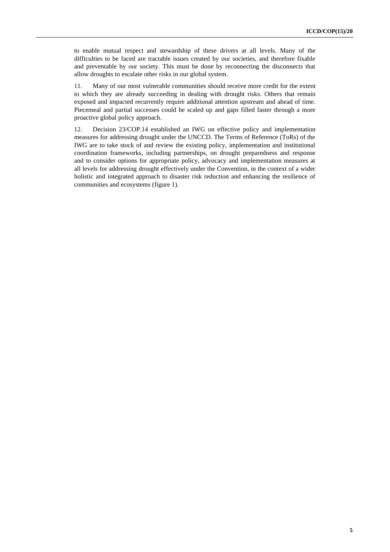to enable mutual respect and stewardship of these drivers at all levels. Many of the difficulties to be faced are tractable issues created by our societies, and therefore fixable and preventable by our society. This must be done by reconnecting the disconnects that allow droughts to escalate other risks in our global system.

11. Many of our most vulnerable communities should receive more credit for the extent to which they are already succeeding in dealing with drought risks. Others that remain exposed and impacted recurrently require additional attention upstream and ahead of time. Piecemeal and partial successes could be scaled up and gaps filled faster through a more proactive global policy approach.

12. Decision 23/COP.14 established an IWG on effective policy and implementation measures for addressing drought under the UNCCD. The Terms of Reference (ToRs) of the IWG are to take stock of and review the existing policy, implementation and institutional coordination frameworks, including partnerships, on drought preparedness and response and to consider options for appropriate policy, advocacy and implementation measures at all levels for addressing drought effectively under the Convention, in the context of a wider holistic and integrated approach to disaster risk reduction and enhancing the resilience of communities and ecosystems (figure 1).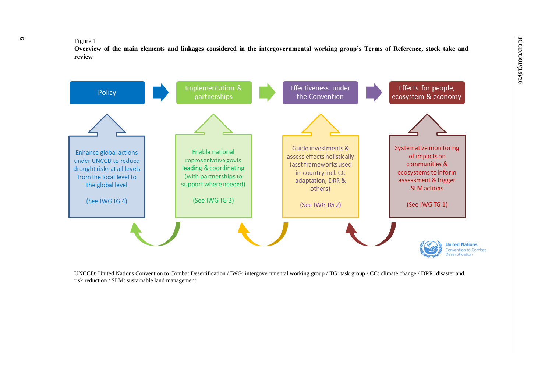#### Figure 1

**Overview of the main elements and linkages considered in the intergovernmental working group's Terms of Reference, stock take and review** 



UNCCD: United Nations Convention to Combat Desertification / IWG: intergovernmental working group / TG: task group / CC: climate change / DRR: disaster and risk reduction / SLM: sustainable land management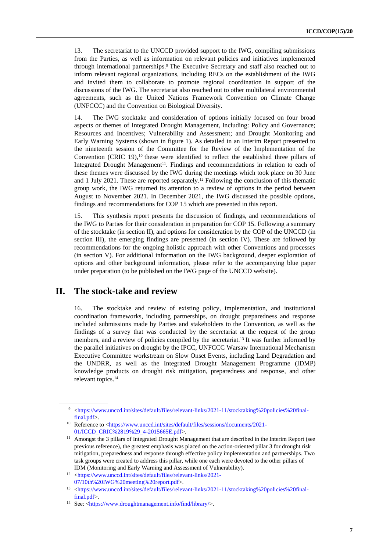13. The secretariat to the UNCCD provided support to the IWG, compiling submissions from the Parties, as well as information on relevant policies and initiatives implemented through international partnerships.<sup>9</sup> The Executive Secretary and staff also reached out to inform relevant regional organizations, including RECs on the establishment of the IWG and invited them to collaborate to promote regional coordination in support of the discussions of the IWG. The secretariat also reached out to other multilateral environmental agreements, such as the United Nations Framework Convention on Climate Change (UNFCCC) and the Convention on Biological Diversity.

14. The IWG stocktake and consideration of options initially focused on four broad aspects or themes of Integrated Drought Management, including: Policy and Governance; Resources and Incentives; Vulnerability and Assessment; and Drought Monitoring and Early Warning Systems (shown in figure 1). As detailed in an Interim Report presented to the nineteenth session of the Committee for the Review of the Implementation of the Convention (CRIC 19), <sup>10</sup> these were identified to reflect the established three pillars of Integrated Drought Management<sup>11</sup>. Findings and recommendations in relation to each of these themes were discussed by the IWG during the meetings which took place on 30 June and 1 July 2021. These are reported separately.<sup>12</sup> Following the conclusion of this thematic group work, the IWG returned its attention to a review of options in the period between August to November 2021. In December 2021, the IWG discussed the possible options, findings and recommendations for COP 15 which are presented in this report.

15. This synthesis report presents the discussion of findings, and recommendations of the IWG to Parties for their consideration in preparation for COP 15. Following a summary of the stocktake (in section II), and options for consideration by the COP of the UNCCD (in section III), the emerging findings are presented (in section IV). These are followed by recommendations for the ongoing holistic approach with other Conventions and processes (in section V). For additional information on the IWG background, deeper exploration of options and other background information, please refer to the accompanying blue paper under preparation (to be published on the IWG page of the UNCCD website).

### **II. The stock-take and review**

16. The stocktake and review of existing policy, implementation, and institutional coordination frameworks, including partnerships, on drought preparedness and response included submissions made by Parties and stakeholders to the Convention, as well as the findings of a survey that was conducted by the secretariat at the request of the group members, and a review of policies compiled by the secretariat.<sup>13</sup> It was further informed by the parallel initiatives on drought by the IPCC, UNFCCC Warsaw International Mechanism Executive Committee workstream on Slow Onset Events, including Land Degradation and the UNDRR, as well as the Integrated Drought Management Programme (IDMP) knowledge products on drought risk mitigation, preparedness and response, and other relevant topics.<sup>14</sup>

<sup>9</sup> [<https://www.unccd.int/sites/default/files/relevant-links/2021-11/stocktaking%20policies%20final](https://www.unccd.int/sites/default/files/relevant-links/2021-11/stocktaking%20policies%20final-final.pdf)[final.pdf>](https://www.unccd.int/sites/default/files/relevant-links/2021-11/stocktaking%20policies%20final-final.pdf).

<sup>&</sup>lt;sup>10</sup> Reference to [<https://www.unccd.int/sites/default/files/sessions/documents/2021-](https://www.unccd.int/sites/default/files/sessions/documents/2021-01/ICCD_CRIC%2819%29_4-2015665E.pdf) [01/ICCD\\_CRIC%2819%29\\_4-2015665E.pdf>](https://www.unccd.int/sites/default/files/sessions/documents/2021-01/ICCD_CRIC%2819%29_4-2015665E.pdf).

<sup>&</sup>lt;sup>11</sup> Amongst the 3 pillars of Integrated Drought Management that are described in the Interim Report (see previous reference), the greatest emphasis was placed on the action-oriented pillar 3 for drought risk mitigation, preparedness and response through effective policy implementation and partnerships. Two task groups were created to address this pillar, while one each were devoted to the other pillars of IDM (Monitoring and Early Warning and Assessment of Vulnerability).

<sup>12</sup> [<https://www.unccd.int/sites/default/files/relevant-links/2021-](https://www.unccd.int/sites/default/files/relevant-links/2021-07/10th%20IWG%20meeting%20report.pdf) [07/10th%20IWG%20meeting%20report.pdf>](https://www.unccd.int/sites/default/files/relevant-links/2021-07/10th%20IWG%20meeting%20report.pdf).

<sup>13</sup> [<https://www.unccd.int/sites/default/files/relevant-links/2021-11/stocktaking%20policies%20final](https://www.unccd.int/sites/default/files/relevant-links/2021-11/stocktaking%20policies%20final-final.pdf)[final.pdf>](https://www.unccd.int/sites/default/files/relevant-links/2021-11/stocktaking%20policies%20final-final.pdf).

<sup>14</sup> See: [<https://www.droughtmanagement.info/find/library/>](https://www.droughtmanagement.info/find/library/).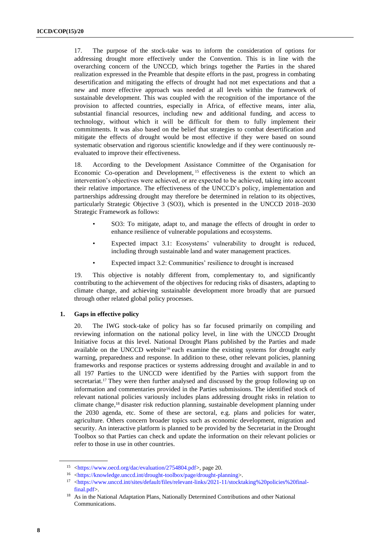17. The purpose of the stock-take was to inform the consideration of options for addressing drought more effectively under the Convention. This is in line with the overarching concern of the UNCCD, which brings together the Parties in the shared realization expressed in the Preamble that despite efforts in the past, progress in combating desertification and mitigating the effects of drought had not met expectations and that a new and more effective approach was needed at all levels within the framework of sustainable development. This was coupled with the recognition of the importance of the provision to affected countries, especially in Africa, of effective means, inter alia*,* substantial financial resources, including new and additional funding, and access to technology, without which it will be difficult for them to fully implement their commitments. It was also based on the belief that strategies to combat desertification and mitigate the effects of drought would be most effective if they were based on sound systematic observation and rigorous scientific knowledge and if they were continuously reevaluated to improve their effectiveness.

18. According to the Development Assistance Committee of the Organisation for Economic Co-operation and Development, <sup>15</sup> effectiveness is the extent to which an intervention's objectives were achieved, or are expected to be achieved, taking into account their relative importance. The effectiveness of the UNCCD's policy, implementation and partnerships addressing drought may therefore be determined in relation to its objectives, particularly Strategic Objective 3 (SO3), which is presented in the UNCCD 2018–2030 Strategic Framework as follows:

- SO3: To mitigate, adapt to, and manage the effects of drought in order to enhance resilience of vulnerable populations and ecosystems.
- Expected impact 3.1: Ecosystems' vulnerability to drought is reduced, including through sustainable land and water management practices.
- Expected impact 3.2: Communities' resilience to drought is increased

19. This objective is notably different from, complementary to, and significantly contributing to the achievement of the objectives for reducing risks of disasters, adapting to climate change, and achieving sustainable development more broadly that are pursued through other related global policy processes.

### **1. Gaps in effective policy**

20. The IWG stock-take of policy has so far focused primarily on compiling and reviewing information on the national policy level, in line with the UNCCD Drought Initiative focus at this level. National Drought Plans published by the Parties and made available on the UNCCD website<sup>16</sup> each examine the existing systems for drought early warning, preparedness and response. In addition to these, other relevant policies, planning frameworks and response practices or systems addressing drought and available in and to all 197 Parties to the UNCCD were identified by the Parties with support from the secretariat.<sup>17</sup> They were then further analysed and discussed by the group following up on information and commentaries provided in the Parties submissions. The identified stock of relevant national policies variously includes plans addressing drought risks in relation to climate change,<sup>18</sup> disaster risk reduction planning, sustainable development planning under the 2030 agenda, etc. Some of these are sectoral, e.g. plans and policies for water, agriculture. Others concern broader topics such as economic development, migration and security. An interactive platform is planned to be provided by the Secretariat in the Drought Toolbox so that Parties can check and update the information on their relevant policies or refer to those in use in other countries.

<sup>15</sup> [<https://www.oecd.org/dac/evaluation/2754804.pdf>](https://www.oecd.org/dac/evaluation/2754804.pdf), page 20.

<sup>16</sup> [<https://knowledge.unccd.int/drought-toolbox/page/drought-planning>](https://knowledge.unccd.int/drought-toolbox/page/drought-planning).

<sup>&</sup>lt;sup>17</sup> [<https://www.unccd.int/sites/default/files/relevant-links/2021-11/stocktaking%20policies%20final](https://www.unccd.int/sites/default/files/relevant-links/2021-11/stocktaking%20policies%20final-final.pdf)[final.pdf>](https://www.unccd.int/sites/default/files/relevant-links/2021-11/stocktaking%20policies%20final-final.pdf).

<sup>&</sup>lt;sup>18</sup> As in the National Adaptation Plans, Nationally Determined Contributions and other National Communications.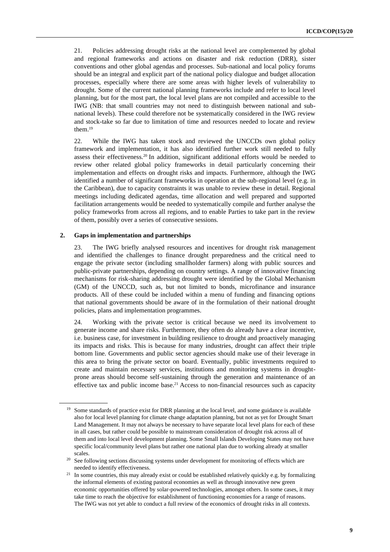21. Policies addressing drought risks at the national level are complemented by global and regional frameworks and actions on disaster and risk reduction (DRR), sister conventions and other global agendas and processes. Sub-national and local policy forums should be an integral and explicit part of the national policy dialogue and budget allocation processes, especially where there are some areas with higher levels of vulnerability to drought. Some of the current national planning frameworks include and refer to local level planning, but for the most part, the local level plans are not compiled and accessible to the IWG (NB: that small countries may not need to distinguish between national and subnational levels). These could therefore not be systematically considered in the IWG review and stock-take so far due to limitation of time and resources needed to locate and review them. 19

22. While the IWG has taken stock and reviewed the UNCCDs own global policy framework and implementation, it has also identified further work still needed to fully assess their effectiveness.<sup>20</sup> In addition, significant additional efforts would be needed to review other related global policy frameworks in detail particularly concerning their implementation and effects on drought risks and impacts. Furthermore, although the IWG identified a number of significant frameworks in operation at the sub-regional level (e.g. in the Caribbean), due to capacity constraints it was unable to review these in detail. Regional meetings including dedicated agendas, time allocation and well prepared and supported facilitation arrangements would be needed to systematically compile and further analyse the policy frameworks from across all regions, and to enable Parties to take part in the review of them, possibly over a series of consecutive sessions.

#### **2. Gaps in implementation and partnerships**

23. The IWG briefly analysed resources and incentives for drought risk management and identified the challenges to finance drought preparedness and the critical need to engage the private sector (including smallholder farmers) along with public sources and public-private partnerships, depending on country settings. A range of innovative financing mechanisms for risk-sharing addressing drought were identified by the Global Mechanism (GM) of the UNCCD, such as, but not limited to bonds, microfinance and insurance products. All of these could be included within a menu of funding and financing options that national governments should be aware of in the formulation of their national drought policies, plans and implementation programmes.

24. Working with the private sector is critical because we need its involvement to generate income and share risks. Furthermore, they often do already have a clear incentive, i.e. business case, for investment in building resilience to drought and proactively managing its impacts and risks. This is because for many industries, drought can affect their triple bottom line. Governments and public sector agencies should make use of their leverage in this area to bring the private sector on board. Eventually, public investments required to create and maintain necessary services, institutions and monitoring systems in droughtprone areas should become self-sustaining through the generation and maintenance of an effective tax and public income base.<sup>21</sup> Access to non-financial resources such as capacity

<sup>&</sup>lt;sup>19</sup> Some standards of practice exist for DRR planning at the local level, and some guidance is available also for local level planning for climate change adaptation planning, but not as yet for Drought Smart Land Management. It may not always be necessary to have separate local level plans for each of these in all cases, but rather could be possible to mainstream consideration of drought risk across all of them and into local level development planning. Some Small Islands Developing States may not have specific local/community level plans but rather one national plan due to working already at smaller scales.

<sup>&</sup>lt;sup>20</sup> See following sections discussing systems under development for monitoring of effects which are needed to identify effectiveness.

In some countries, this may already exist or could be established relatively quickly e.g. by formalizing the informal elements of existing pastoral economies as well as through innovative new green economic opportunities offered by solar-powered technologies, amongst others. In some cases, it may take time to reach the objective for establishment of functioning economies for a range of reasons. The IWG was not yet able to conduct a full review of the economics of drought risks in all contexts.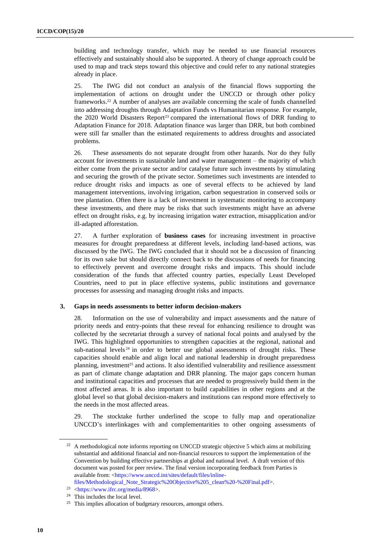building and technology transfer, which may be needed to use financial resources effectively and sustainably should also be supported. A theory of change approach could be used to map and track steps toward this objective and could refer to any national strategies already in place.

25. The IWG did not conduct an analysis of the financial flows supporting the implementation of actions on drought under the UNCCD or through other policy frameworks.<sup>22</sup> A number of analyses are available concerning the scale of funds channelled into addressing droughts through Adaptation Funds vs Humanitarian response. For example, the 2020 World Disasters Report<sup>23</sup> compared the international flows of DRR funding to Adaptation Finance for 2018. Adaptation finance was larger than DRR, but both combined were still far smaller than the estimated requirements to address droughts and associated problems.

26. These assessments do not separate drought from other hazards. Nor do they fully account for investments in sustainable land and water management – the majority of which either come from the private sector and/or catalyse future such investments by stimulating and securing the growth of the private sector. Sometimes such investments are intended to reduce drought risks and impacts as one of several effects to be achieved by land management interventions, involving irrigation, carbon sequestration in conserved soils or tree plantation. Often there is a lack of investment in systematic monitoring to accompany these investments, and there may be risks that such investments might have an adverse effect on drought risks, e.g. by increasing irrigation water extraction, misapplication and/or ill-adapted afforestation.

27. A further exploration of **business cases** for increasing investment in proactive measures for drought preparedness at different levels, including land-based actions, was discussed by the IWG. The IWG concluded that it should not be a discussion of financing for its own sake but should directly connect back to the discussions of needs for financing to effectively prevent and overcome drought risks and impacts. This should include consideration of the funds that affected country parties, especially Least Developed Countries, need to put in place effective systems, public institutions and governance processes for assessing and managing drought risks and impacts.

### **3. Gaps in needs assessments to better inform decision-makers**

Information on the use of vulnerability and impact assessments and the nature of priority needs and entry-points that these reveal for enhancing resilience to drought was collected by the secretariat through a survey of national focal points and analysed by the IWG. This highlighted opportunities to strengthen capacities at the regional, national and sub-national levels $24$  in order to better use global assessments of drought risks. These capacities should enable and align local and national leadership in drought preparedness planning, investment<sup>25</sup> and actions. It also identified vulnerability and resilience assessment as part of climate change adaptation and DRR planning. The major gaps concern human and institutional capacities and processes that are needed to progressively build them in the most affected areas. It is also important to build capabilities in other regions and at the global level so that global decision-makers and institutions can respond more effectively to the needs in the most affected areas.

29. The stocktake further underlined the scope to fully map and operationalize UNCCD's interlinkages with and complementarities to other ongoing assessments of

<sup>&</sup>lt;sup>22</sup> A methodological note informs reporting on UNCCD strategic objective 5 which aims at mobilizing substantial and additional financial and non-financial resources to support the implementation of the Convention by building effective partnerships at global and national level. A draft version of this document was posted for peer review. The final version incorporating feedback from Parties is available from: [<https://www.unccd.int/sites/default/files/inline-](https://www.unccd.int/sites/default/files/inline-files/Methodological_Note_Strategic%20Objective%205_clean%20-%20Final.pdf)

[files/Methodological\\_Note\\_Strategic%20Objective%205\\_clean%20-%20Final.pdf>](https://www.unccd.int/sites/default/files/inline-files/Methodological_Note_Strategic%20Objective%205_clean%20-%20Final.pdf).

<sup>23</sup> [<https://www.ifrc.org/media/8968>](https://www.ifrc.org/media/8968).

<sup>24</sup> This includes the local level.

<sup>&</sup>lt;sup>25</sup> This implies allocation of budgetary resources, amongst others.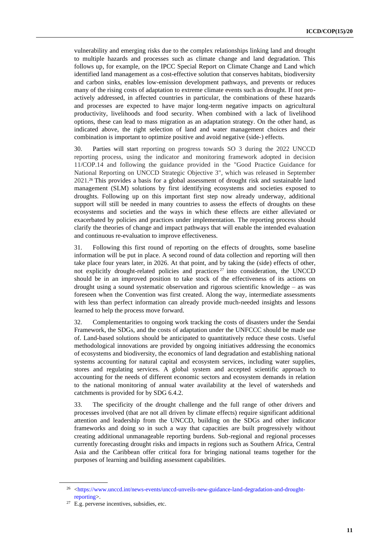vulnerability and emerging risks due to the complex relationships linking land and drought to multiple hazards and processes such as climate change and land degradation. This follows up, for example, on the IPCC Special Report on Climate Change and Land which identified land management as a cost-effective solution that conserves habitats, biodiversity and carbon sinks, enables low-emission development pathways, and prevents or reduces many of the rising costs of adaptation to extreme climate events such as drought. If not proactively addressed, in affected countries in particular, the combinations of these hazards and processes are expected to have major long-term negative impacts on agricultural productivity, livelihoods and food security. When combined with a lack of livelihood options, these can lead to mass migration as an adaptation strategy. On the other hand, as indicated above, the right selection of land and water management choices and their combination is important to optimize positive and avoid negative (side-) effects.

30. Parties will start reporting on progress towards SO 3 during the 2022 UNCCD reporting process, using the indicator and monitoring framework adopted in decision 11/COP.14 and following the guidance provided in the "Good Practice Guidance for National Reporting on UNCCD Strategic Objective 3", which was released in September 2021. <sup>26</sup> This provides a basis for a global assessment of drought risk and sustainable land management (SLM) solutions by first identifying ecosystems and societies exposed to droughts. Following up on this important first step now already underway, additional support will still be needed in many countries to assess the effects of droughts on these ecosystems and societies and the ways in which these effects are either alleviated or exacerbated by policies and practices under implementation. The reporting process should clarify the theories of change and impact pathways that will enable the intended evaluation and continuous re-evaluation to improve effectiveness.

31. Following this first round of reporting on the effects of droughts, some baseline information will be put in place. A second round of data collection and reporting will then take place four years later, in 2026. At that point, and by taking the (side) effects of other, not explicitly drought-related policies and practices <sup>27</sup> into consideration, the UNCCD should be in an improved position to take stock of the effectiveness of its actions on drought using a sound systematic observation and rigorous scientific knowledge – as was foreseen when the Convention was first created. Along the way, intermediate assessments with less than perfect information can already provide much-needed insights and lessons learned to help the process move forward.

32. Complementarities to ongoing work tracking the costs of disasters under the Sendai Framework, the SDGs, and the costs of adaptation under the UNFCCC should be made use of. Land-based solutions should be anticipated to quantitatively reduce these costs. Useful methodological innovations are provided by ongoing initiatives addressing the economics of ecosystems and biodiversity, the economics of land degradation and establishing national systems accounting for natural capital and ecosystem services, including water supplies, stores and regulating services. A global system and accepted scientific approach to accounting for the needs of different economic sectors and ecosystem demands in relation to the national monitoring of annual water availability at the level of watersheds and catchments is provided for by SDG 6.4.2.

33. The specificity of the drought challenge and the full range of other drivers and processes involved (that are not all driven by climate effects) require significant additional attention and leadership from the UNCCD, building on the SDGs and other indicator frameworks and doing so in such a way that capacities are built progressively without creating additional unmanageable reporting burdens. Sub-regional and regional processes currently forecasting drought risks and impacts in regions such as Southern Africa, Central Asia and the Caribbean offer critical fora for bringing national teams together for the purposes of learning and building assessment capabilities.

<sup>&</sup>lt;sup>26</sup> [<https://www.unccd.int/news-events/unccd-unveils-new-guidance-land-degradation-and-drought](https://www.unccd.int/news-events/unccd-unveils-new-guidance-land-degradation-and-drought-reporting)[reporting>](https://www.unccd.int/news-events/unccd-unveils-new-guidance-land-degradation-and-drought-reporting).

 $27$  E.g. perverse incentives, subsidies, etc.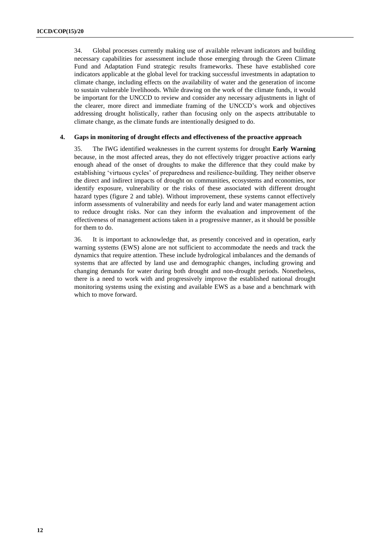34. Global processes currently making use of available relevant indicators and building necessary capabilities for assessment include those emerging through the Green Climate Fund and Adaptation Fund strategic results frameworks. These have established core indicators applicable at the global level for tracking successful investments in adaptation to climate change, including effects on the availability of water and the generation of income to sustain vulnerable livelihoods. While drawing on the work of the climate funds, it would be important for the UNCCD to review and consider any necessary adjustments in light of the clearer, more direct and immediate framing of the UNCCD's work and objectives addressing drought holistically, rather than focusing only on the aspects attributable to climate change, as the climate funds are intentionally designed to do.

#### **4. Gaps in monitoring of drought effects and effectiveness of the proactive approach**

35. The IWG identified weaknesses in the current systems for drought **Early Warning** because, in the most affected areas, they do not effectively trigger proactive actions early enough ahead of the onset of droughts to make the difference that they could make by establishing 'virtuous cycles' of preparedness and resilience-building. They neither observe the direct and indirect impacts of drought on communities, ecosystems and economies, nor identify exposure, vulnerability or the risks of these associated with different drought hazard types (figure 2 and table). Without improvement, these systems cannot effectively inform assessments of vulnerability and needs for early land and water management action to reduce drought risks. Nor can they inform the evaluation and improvement of the effectiveness of management actions taken in a progressive manner, as it should be possible for them to do.

36. It is important to acknowledge that, as presently conceived and in operation, early warning systems (EWS) alone are not sufficient to accommodate the needs and track the dynamics that require attention. These include hydrological imbalances and the demands of systems that are affected by land use and demographic changes, including growing and changing demands for water during both drought and non-drought periods. Nonetheless, there is a need to work with and progressively improve the established national drought monitoring systems using the existing and available EWS as a base and a benchmark with which to move forward.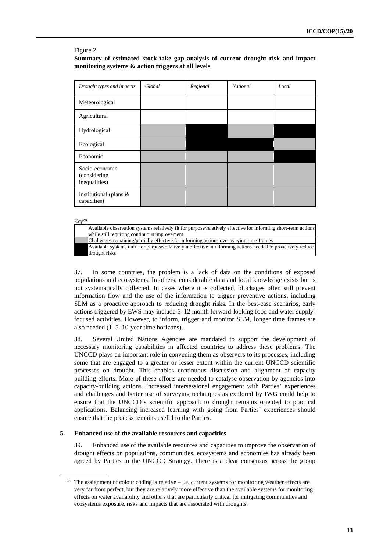#### Figure 2

### **Summary of estimated stock-take gap analysis of current drought risk and impact monitoring systems & action triggers at all levels**

| Drought types and impacts                        | Global | Regional | <b>National</b> | Local |
|--------------------------------------------------|--------|----------|-----------------|-------|
| Meteorological                                   |        |          |                 |       |
| Agricultural                                     |        |          |                 |       |
| Hydrological                                     |        |          |                 |       |
| Ecological                                       |        |          |                 |       |
| Economic                                         |        |          |                 |       |
| Socio-economic<br>(considering)<br>inequalities) |        |          |                 |       |
| Institutional (plans $&$<br>capacities)          |        |          |                 |       |

 $Key<sup>28</sup>$ 

ought risk

| Available observation systems relatively fit for purpose/relatively effective for informing short-term actions |
|----------------------------------------------------------------------------------------------------------------|
| while still requiring continuous improvement                                                                   |
| Challenges remaining/partially effective for informing actions over varying time frames                        |
| Available systems unfit for purpose/relatively ineffective in informing actions needed to proactively reduce   |

37. In some countries, the problem is a lack of data on the conditions of exposed populations and ecosystems. In others, considerable data and local knowledge exists but is not systematically collected. In cases where it is collected, blockages often still prevent information flow and the use of the information to trigger preventive actions, including SLM as a proactive approach to reducing drought risks. In the best-case scenarios, early actions triggered by EWS may include 6–12 month forward-looking food and water supplyfocused activities. However, to inform, trigger and monitor SLM, longer time frames are also needed (1–5–10-year time horizons).

38. Several United Nations Agencies are mandated to support the development of necessary monitoring capabilities in affected countries to address these problems. The UNCCD plays an important role in convening them as observers to its processes, including some that are engaged to a greater or lesser extent within the current UNCCD scientific processes on drought. This enables continuous discussion and alignment of capacity building efforts. More of these efforts are needed to catalyse observation by agencies into capacity-building actions. Increased intersessional engagement with Parties' experiences and challenges and better use of surveying techniques as explored by IWG could help to ensure that the UNCCD's scientific approach to drought remains oriented to practical applications. Balancing increased learning with going from Parties' experiences should ensure that the process remains useful to the Parties.

### **5. Enhanced use of the available resources and capacities**

39. Enhanced use of the available resources and capacities to improve the observation of drought effects on populations, communities, ecosystems and economies has already been agreed by Parties in the UNCCD Strategy. There is a clear consensus across the group

<sup>&</sup>lt;sup>28</sup> The assignment of colour coding is relative – i.e. current systems for monitoring weather effects are very far from perfect, but they are relatively more effective than the available systems for monitoring effects on water availability and others that are particularly critical for mitigating communities and ecosystems exposure, risks and impacts that are associated with droughts.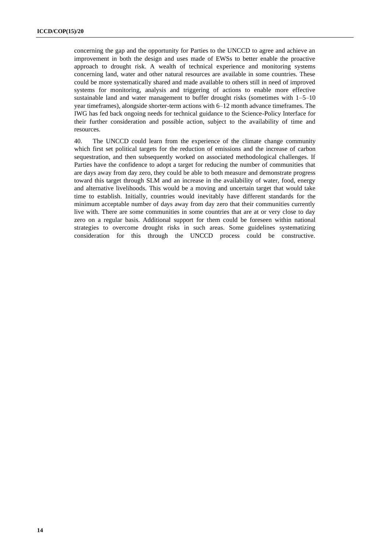concerning the gap and the opportunity for Parties to the UNCCD to agree and achieve an improvement in both the design and uses made of EWSs to better enable the proactive approach to drought risk. A wealth of technical experience and monitoring systems concerning land, water and other natural resources are available in some countries. These could be more systematically shared and made available to others still in need of improved systems for monitoring, analysis and triggering of actions to enable more effective sustainable land and water management to buffer drought risks (sometimes with 1–5–10 year timeframes), alongside shorter-term actions with 6–12 month advance timeframes. The IWG has fed back ongoing needs for technical guidance to the Science-Policy Interface for their further consideration and possible action, subject to the availability of time and resources.

40. The UNCCD could learn from the experience of the climate change community which first set political targets for the reduction of emissions and the increase of carbon sequestration, and then subsequently worked on associated methodological challenges. If Parties have the confidence to adopt a target for reducing the number of communities that are days away from day zero, they could be able to both measure and demonstrate progress toward this target through SLM and an increase in the availability of water, food, energy and alternative livelihoods. This would be a moving and uncertain target that would take time to establish. Initially, countries would inevitably have different standards for the minimum acceptable number of days away from day zero that their communities currently live with. There are some communities in some countries that are at or very close to day zero on a regular basis. Additional support for them could be foreseen within national strategies to overcome drought risks in such areas. Some guidelines systematizing consideration for this through the UNCCD process could be constructive.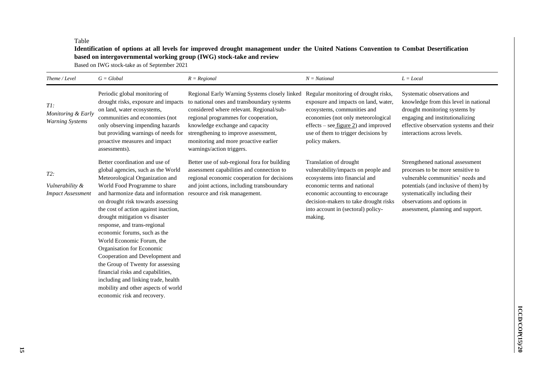#### Table

### **Identification of options at all levels for improved drought management under the United Nations Convention to Combat Desertification based on intergovernmental working group (IWG) stock-take and review**

Based on IWG stock-take as of September 2021

| Theme / Level                                         | $G = Global$                                                                                                                                                                                                                                                                                                                                                                                                                                                                                                                                                                                                                                      | $R = Regional$                                                                                                                                                                                                                                                                                                                   | $N = National$                                                                                                                                                                                                                                              | $L = Local$                                                                                                                                                                                                                                               |
|-------------------------------------------------------|---------------------------------------------------------------------------------------------------------------------------------------------------------------------------------------------------------------------------------------------------------------------------------------------------------------------------------------------------------------------------------------------------------------------------------------------------------------------------------------------------------------------------------------------------------------------------------------------------------------------------------------------------|----------------------------------------------------------------------------------------------------------------------------------------------------------------------------------------------------------------------------------------------------------------------------------------------------------------------------------|-------------------------------------------------------------------------------------------------------------------------------------------------------------------------------------------------------------------------------------------------------------|-----------------------------------------------------------------------------------------------------------------------------------------------------------------------------------------------------------------------------------------------------------|
| TI:<br>Monitoring & Early<br><b>Warning Systems</b>   | Periodic global monitoring of<br>drought risks, exposure and impacts<br>on land, water ecosystems,<br>communities and economies (not<br>only observing impending hazards<br>but providing warnings of needs for<br>proactive measures and impact<br>assessments).                                                                                                                                                                                                                                                                                                                                                                                 | Regional Early Warning Systems closely linked<br>to national ones and transboundary systems<br>considered where relevant. Regional/sub-<br>regional programmes for cooperation,<br>knowledge exchange and capacity<br>strengthening to improve assessment,<br>monitoring and more proactive earlier<br>warnings/action triggers. | Regular monitoring of drought risks,<br>exposure and impacts on land, water,<br>ecosystems, communities and<br>economies (not only meteorological<br>effects – see <u>figure 2</u> ) and improved<br>use of them to trigger decisions by<br>policy makers.  | Systematic observations and<br>knowledge from this level in national<br>drought monitoring systems by<br>engaging and institutionalizing<br>effective observation systems and their<br>interactions across levels.                                        |
| $T2$ :<br>Vulnerability &<br><b>Impact Assessment</b> | Better coordination and use of<br>global agencies, such as the World<br>Meteorological Organization and<br>World Food Programme to share<br>and harmonize data and information<br>on drought risk towards assessing<br>the cost of action against inaction,<br>drought mitigation vs disaster<br>response, and trans-regional<br>economic forums, such as the<br>World Economic Forum, the<br>Organisation for Economic<br>Cooperation and Development and<br>the Group of Twenty for assessing<br>financial risks and capabilities,<br>including and linking trade, health<br>mobility and other aspects of world<br>economic risk and recovery. | Better use of sub-regional fora for building<br>assessment capabilities and connection to<br>regional economic cooperation for decisions<br>and joint actions, including transboundary<br>resource and risk management.                                                                                                          | Translation of drought<br>vulnerability/impacts on people and<br>ecosystems into financial and<br>economic terms and national<br>economic accounting to encourage<br>decision-makers to take drought risks<br>into account in (sectoral) policy-<br>making. | Strengthened national assessment<br>processes to be more sensitive to<br>vulnerable communities' needs and<br>potentials (and inclusive of them) by<br>systematically including their<br>observations and options in<br>assessment, planning and support. |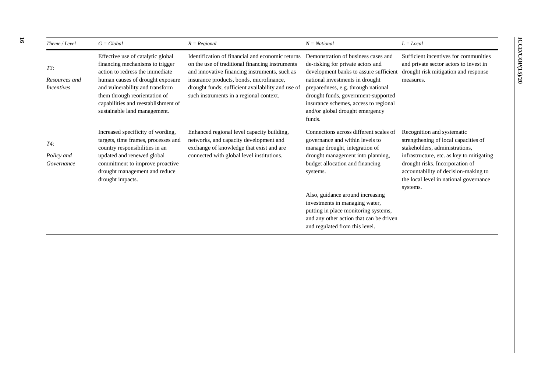| Theme / Level                                | $G = Global$                                                                                                                                                                                                                                                                           | $R = Regional$                                                                                                                                                                                                                                                                                   | $N = National$                                                                                                                                                                                                                                                                                                            | $L = Local$                                                                                                                                                                                                                                                                        |
|----------------------------------------------|----------------------------------------------------------------------------------------------------------------------------------------------------------------------------------------------------------------------------------------------------------------------------------------|--------------------------------------------------------------------------------------------------------------------------------------------------------------------------------------------------------------------------------------------------------------------------------------------------|---------------------------------------------------------------------------------------------------------------------------------------------------------------------------------------------------------------------------------------------------------------------------------------------------------------------------|------------------------------------------------------------------------------------------------------------------------------------------------------------------------------------------------------------------------------------------------------------------------------------|
| $T3$ :<br>Resources and<br><i>Incentives</i> | Effective use of catalytic global<br>financing mechanisms to trigger<br>action to redress the immediate<br>human causes of drought exposure<br>and vulnerability and transform<br>them through reorientation of<br>capabilities and reestablishment of<br>sustainable land management. | Identification of financial and economic returns<br>on the use of traditional financing instruments<br>and innovative financing instruments, such as<br>insurance products, bonds, microfinance,<br>drought funds; sufficient availability and use of<br>such instruments in a regional context. | Demonstration of business cases and<br>de-risking for private actors and<br>development banks to assure sufficient<br>national investments in drought<br>preparedness, e.g. through national<br>drought funds, government-supported<br>insurance schemes, access to regional<br>and/or global drought emergency<br>funds. | Sufficient incentives for communities<br>and private sector actors to invest in<br>drought risk mitigation and response<br>measures.                                                                                                                                               |
| T4:<br>Policy and<br>Governance              | Increased specificity of wording,<br>targets, time frames, processes and<br>country responsibilities in an<br>updated and renewed global<br>commitment to improve proactive<br>drought management and reduce<br>drought impacts.                                                       | Enhanced regional level capacity building,<br>networks, and capacity development and<br>exchange of knowledge that exist and are<br>connected with global level institutions.                                                                                                                    | Connections across different scales of<br>governance and within levels to<br>manage drought, integration of<br>drought management into planning,<br>budget allocation and financing<br>systems.                                                                                                                           | Recognition and systematic<br>strengthening of local capacities of<br>stakeholders, administrations,<br>infrastructure, etc. as key to mitigating<br>drought risks. Incorporation of<br>accountability of decision-making to<br>the local level in national governance<br>systems. |
|                                              |                                                                                                                                                                                                                                                                                        |                                                                                                                                                                                                                                                                                                  | Also, guidance around increasing<br>investments in managing water,<br>putting in place monitoring systems,<br>and any other action that can be driven                                                                                                                                                                     |                                                                                                                                                                                                                                                                                    |

and regulated from this level.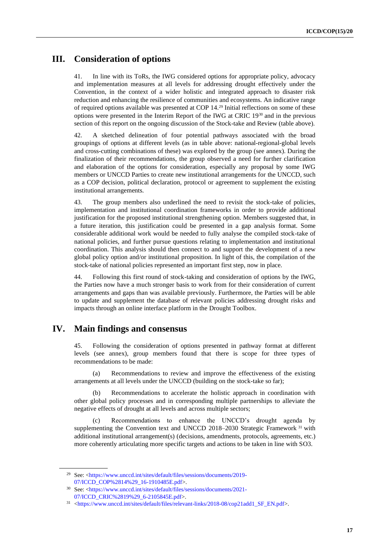## **III. Consideration of options**

41. In line with its ToRs, the IWG considered options for appropriate policy, advocacy and implementation measures at all levels for addressing drought effectively under the Convention, in the context of a wider holistic and integrated approach to disaster risk reduction and enhancing the resilience of communities and ecosystems. An indicative range of required options available was presented at COP 14.<sup>29</sup> Initial reflections on some of these options were presented in the Interim Report of the IWG at CRIC 19<sup>30</sup> and in the previous section of this report on the ongoing discussion of the Stock-take and Review (table above).

42. A sketched delineation of four potential pathways associated with the broad groupings of options at different levels (as in table above: national-regional-global levels and cross-cutting combinations of these) was explored by the group (see annex). During the finalization of their recommendations, the group observed a need for further clarification and elaboration of the options for consideration, especially any proposal by some IWG members or UNCCD Parties to create new institutional arrangements for the UNCCD, such as a COP decision, political declaration, protocol or agreement to supplement the existing institutional arrangements.

43. The group members also underlined the need to revisit the stock-take of policies, implementation and institutional coordination frameworks in order to provide additional justification for the proposed institutional strengthening option. Members suggested that, in a future iteration, this justification could be presented in a gap analysis format. Some considerable additional work would be needed to fully analyse the compiled stock-take of national policies, and further pursue questions relating to implementation and institutional coordination. This analysis should then connect to and support the development of a new global policy option and/or institutional proposition. In light of this, the compilation of the stock-take of national policies represented an important first step, now in place.

44. Following this first round of stock-taking and consideration of options by the IWG, the Parties now have a much stronger basis to work from for their consideration of current arrangements and gaps than was available previously. Furthermore, the Parties will be able to update and supplement the database of relevant policies addressing drought risks and impacts through an online interface platform in the Drought Toolbox.

## **IV. Main findings and consensus**

45. Following the consideration of options presented in pathway format at different levels (see annex), group members found that there is scope for three types of recommendations to be made:

Recommendations to review and improve the effectiveness of the existing arrangements at all levels under the UNCCD (building on the stock-take so far);

Recommendations to accelerate the holistic approach in coordination with other global policy processes and in corresponding multiple partnerships to alleviate the negative effects of drought at all levels and across multiple sectors;

(c) Recommendations to enhance the UNCCD's drought agenda by supplementing the Convention text and UNCCD 2018–2030 Strategic Framework <sup>31</sup> with additional institutional arrangement(s) (decisions, amendments, protocols, agreements, etc.) more coherently articulating more specific targets and actions to be taken in line with SO3.

<sup>29</sup> See: <https://www.unccd.int/sites/default/files/sessions/documents/2019- 07/ICCD\_COP%2814%29\_16-1910485E.pdf>.

<sup>30</sup> See: [<https://www.unccd.int/sites/default/files/sessions/documents/2021-](https://www.unccd.int/sites/default/files/sessions/documents/2021-07/ICCD_CRIC%2819%29_6-2105845E.pdf) [07/ICCD\\_CRIC%2819%29\\_6-2105845E.pdf>](https://www.unccd.int/sites/default/files/sessions/documents/2021-07/ICCD_CRIC%2819%29_6-2105845E.pdf).

<sup>31</sup> [<https://www.unccd.int/sites/default/files/relevant-links/2018-08/cop21add1\\_SF\\_EN.pdf>](https://www.unccd.int/sites/default/files/relevant-links/2018-08/cop21add1_SF_EN.pdf).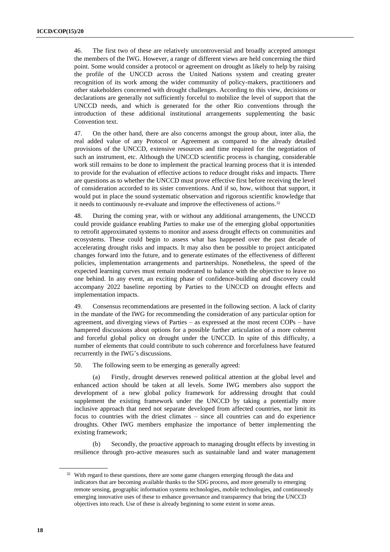46. The first two of these are relatively uncontroversial and broadly accepted amongst the members of the IWG. However, a range of different views are held concerning the third point. Some would consider a protocol or agreement on drought as likely to help by raising the profile of the UNCCD across the United Nations system and creating greater recognition of its work among the wider community of policy-makers, practitioners and other stakeholders concerned with drought challenges. According to this view, decisions or declarations are generally not sufficiently forceful to mobilize the level of support that the UNCCD needs, and which is generated for the other Rio conventions through the introduction of these additional institutional arrangements supplementing the basic Convention text.

47. On the other hand, there are also concerns amongst the group about, inter alia*,* the real added value of any Protocol or Agreement as compared to the already detailed provisions of the UNCCD, extensive resources and time required for the negotiation of such an instrument, etc. Although the UNCCD scientific process is changing, considerable work still remains to be done to implement the practical learning process that it is intended to provide for the evaluation of effective actions to reduce drought risks and impacts. There are questions as to whether the UNCCD must prove effective first before receiving the level of consideration accorded to its sister conventions. And if so, how, without that support, it would put in place the sound systematic observation and rigorous scientific knowledge that it needs to continuously re-evaluate and improve the effectiveness of actions.<sup>32</sup>

48. During the coming year, with or without any additional arrangements, the UNCCD could provide guidance enabling Parties to make use of the emerging global opportunities to retrofit approximated systems to monitor and assess drought effects on communities and ecosystems. These could begin to assess what has happened over the past decade of accelerating drought risks and impacts. It may also then be possible to project anticipated changes forward into the future, and to generate estimates of the effectiveness of different policies, implementation arrangements and partnerships. Nonetheless, the speed of the expected learning curves must remain moderated to balance with the objective to leave no one behind. In any event, an exciting phase of confidence-building and discovery could accompany 2022 baseline reporting by Parties to the UNCCD on drought effects and implementation impacts.

49. Consensus recommendations are presented in the following section. A lack of clarity in the mandate of the IWG for recommending the consideration of any particular option for agreement, and diverging views of Parties – as expressed at the most recent COPs – have hampered discussions about options for a possible further articulation of a more coherent and forceful global policy on drought under the UNCCD. In spite of this difficulty, a number of elements that could contribute to such coherence and forcefulness have featured recurrently in the IWG's discussions.

50. The following seem to be emerging as generally agreed:

(a) Firstly, drought deserves renewed political attention at the global level and enhanced action should be taken at all levels. Some IWG members also support the development of a new global policy framework for addressing drought that could supplement the existing framework under the UNCCD by taking a potentially more inclusive approach that need not separate developed from affected countries, nor limit its focus to countries with the driest climates – since all countries can and do experience droughts. Other IWG members emphasize the importance of better implementing the existing framework;

(b) Secondly, the proactive approach to managing drought effects by investing in resilience through pro-active measures such as sustainable land and water management

<sup>&</sup>lt;sup>32</sup> With regard to these questions, there are some game changers emerging through the data and indicators that are becoming available thanks to the SDG process, and more generally to emerging remote sensing, geographic information systems technologies, mobile technologies, and continuously emerging innovative uses of these to enhance governance and transparency that bring the UNCCD objectives into reach. Use of these is already beginning to some extent in some areas.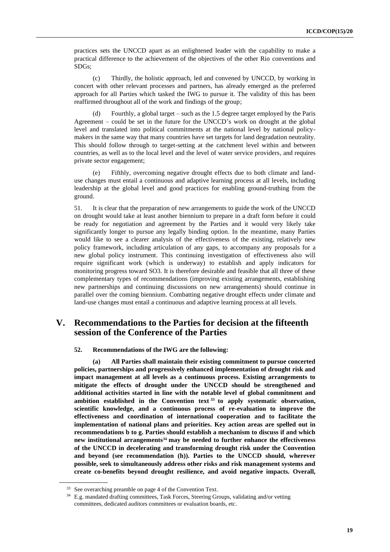practices sets the UNCCD apart as an enlightened leader with the capability to make a practical difference to the achievement of the objectives of the other Rio conventions and SDGs;

(c) Thirdly, the holistic approach, led and convened by UNCCD, by working in concert with other relevant processes and partners, has already emerged as the preferred approach for all Parties which tasked the IWG to pursue it. The validity of this has been reaffirmed throughout all of the work and findings of the group;

Fourthly, a global target – such as the  $1.5$  degree target employed by the Paris Agreement – could be set in the future for the UNCCD's work on drought at the global level and translated into political commitments at the national level by national policymakers in the same way that many countries have set targets for land degradation neutrality. This should follow through to target-setting at the catchment level within and between countries, as well as to the local level and the level of water service providers, and requires private sector engagement;

(e) Fifthly, overcoming negative drought effects due to both climate and landuse changes must entail a continuous and adaptive learning process at all levels, including leadership at the global level and good practices for enabling ground-truthing from the ground.

51. It is clear that the preparation of new arrangements to guide the work of the UNCCD on drought would take at least another biennium to prepare in a draft form before it could be ready for negotiation and agreement by the Parties and it would very likely take significantly longer to pursue any legally binding option. In the meantime, many Parties would like to see a clearer analysis of the effectiveness of the existing, relatively new policy framework, including articulation of any gaps, to accompany any proposals for a new global policy instrument. This continuing investigation of effectiveness also will require significant work (which is underway) to establish and apply indicators for monitoring progress toward SO3. It is therefore desirable and feasible that all three of these complementary types of recommendations (improving existing arrangements, establishing new partnerships and continuing discussions on new arrangements) should continue in parallel over the coming biennium. Combatting negative drought effects under climate and land-use changes must entail a continuous and adaptive learning process at all levels.

### **V. Recommendations to the Parties for decision at the fifteenth session of the Conference of the Parties**

#### **52. Recommendations of the IWG are the following:**

**(a) All Parties shall maintain their existing commitment to pursue concerted policies, partnerships and progressively enhanced implementation of drought risk and impact management at all levels as a continuous process. Existing arrangements to mitigate the effects of drought under the UNCCD should be strengthened and additional activities started in line with the notable level of global commitment and ambition established in the Convention text <sup>33</sup> to apply systematic observation, scientific knowledge, and a continuous process of re-evaluation to improve the effectiveness and coordination of international cooperation and to facilitate the implementation of national plans and priorities. Key action areas are spelled out in recommendations b to g. Parties should establish a mechanism to discuss if and which new institutional arrangements<sup>34</sup> may be needed to further enhance the effectiveness of the UNCCD in decelerating and transforming drought risk under the Convention and beyond (see recommendation (h)). Parties to the UNCCD should, wherever possible, seek to simultaneously address other risks and risk management systems and create co-benefits beyond drought resilience, and avoid negative impacts. Overall,** 

<sup>&</sup>lt;sup>33</sup> See overarching preamble on page 4 of the Convention Text.

<sup>34</sup> E.g. mandated drafting committees, Task Forces, Steering Groups, validating and/or vetting committees, dedicated auditors committees or evaluation boards, etc.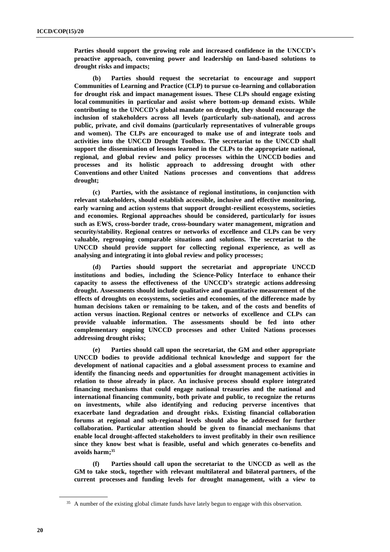**Parties should support the growing role and increased confidence in the UNCCD's proactive approach, convening power and leadership on land-based solutions to drought risks and impacts;**

**(b) Parties should request the secretariat to encourage and support Communities of Learning and Practice (CLP) to pursue co-learning and collaboration for drought risk and impact management issues. These CLPs should engage existing local communities in particular and assist where bottom-up demand exists. While contributing to the UNCCD's global mandate on drought, they should encourage the inclusion of stakeholders across all levels (particularly sub-national), and across public, private, and civil domains (particularly representatives of vulnerable groups and women). The CLPs are encouraged to make use of and integrate tools and activities into the UNCCD Drought Toolbox. The secretariat to the UNCCD shall support the dissemination of lessons learned in the CLPs to the appropriate national, regional, and global review and policy processes within the UNCCD bodies and processes and its holistic approach to addressing drought with other Conventions and other United Nations processes and conventions that address drought;**

**(c) Parties, with the assistance of regional institutions, in conjunction with relevant stakeholders, should establish accessible, inclusive and effective monitoring, early warning and action systems that support drought-resilient ecosystems, societies and economies. Regional approaches should be considered, particularly for issues such as EWS, cross-border trade, cross-boundary water management, migration and security/stability. Regional centres or networks of excellence and CLPs can be very valuable, regrouping comparable situations and solutions. The secretariat to the UNCCD should provide support for collecting regional experience, as well as analysing and integrating it into global review and policy processes;**

**(d) Parties should support the secretariat and appropriate UNCCD institutions and bodies, including the Science-Policy Interface to enhance their capacity to assess the effectiveness of the UNCCD's strategic actions addressing drought. Assessments should include qualitative and quantitative measurement of the effects of droughts on ecosystems, societies and economies, of the difference made by human decisions taken or remaining to be taken, and of the costs and benefits of action versus inaction. Regional centres or networks of excellence and CLPs can provide valuable information. The assessments should be fed into other complementary ongoing UNCCD processes and other United Nations processes addressing drought risks;**

**(e) Parties should call upon the secretariat, the GM and other appropriate UNCCD bodies to provide additional technical knowledge and support for the development of national capacities and a global assessment process to examine and identify the financing needs and opportunities for drought management activities in relation to those already in place. An inclusive process should explore integrated financing mechanisms that could engage national treasuries and the national and international financing community, both private and public, to recognize the returns on investments, while also identifying and reducing perverse incentives that exacerbate land degradation and drought risks. Existing financial collaboration forums at regional and sub-regional levels should also be addressed for further collaboration. Particular attention should be given to financial mechanisms that enable local drought-affected stakeholders to invest profitably in their own resilience since they know best what is feasible, useful and which generates co-benefits and avoids harm; 35**

**(f) Parties should call upon the secretariat to the UNCCD as well as the GM to take stock, together with relevant multilateral and bilateral partners, of the current processes and funding levels for drought management, with a view to** 

<sup>&</sup>lt;sup>35</sup> A number of the existing global climate funds have lately begun to engage with this observation.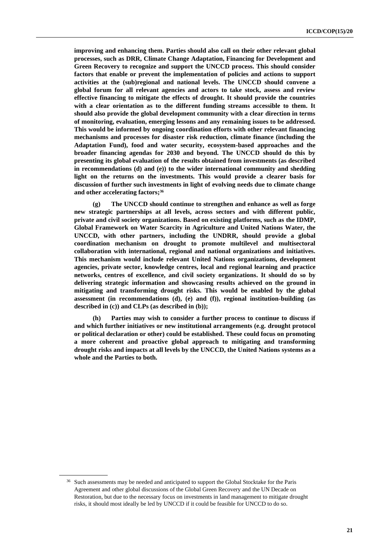**improving and enhancing them. Parties should also call on their other relevant global processes, such as DRR, Climate Change Adaptation, Financing for Development and Green Recovery to recognize and support the UNCCD process. This should consider factors that enable or prevent the implementation of policies and actions to support activities at the (sub)regional and national levels. The UNCCD should convene a global forum for all relevant agencies and actors to take stock, assess and review effective financing to mitigate the effects of drought. It should provide the countries with a clear orientation as to the different funding streams accessible to them. It should also provide the global development community with a clear direction in terms of monitoring, evaluation, emerging lessons and any remaining issues to be addressed. This would be informed by ongoing coordination efforts with other relevant financing mechanisms and processes for disaster risk reduction, climate finance (including the Adaptation Fund), food and water security, ecosystem-based approaches and the broader financing agendas for 2030 and beyond. The UNCCD should do this by presenting its global evaluation of the results obtained from investments (as described in recommendations (d) and (e)) to the wider international community and shedding light on the returns on the investments. This would provide a clearer basis for discussion of further such investments in light of evolving needs due to climate change and other accelerating factors; 36**

**(g) The UNCCD should continue to strengthen and enhance as well as forge new strategic partnerships at all levels, across sectors and with different public, private and civil society organizations. Based on existing platforms, such as the IDMP, Global Framework on Water Scarcity in Agriculture and United Nations Water, the UNCCD, with other partners, including the UNDRR, should provide a global coordination mechanism on drought to promote multilevel and multisectoral collaboration with international, regional and national organizations and initiatives. This mechanism would include relevant United Nations organizations, development agencies, private sector, knowledge centres, local and regional learning and practice networks, centres of excellence, and civil society organizations. It should do so by delivering strategic information and showcasing results achieved on the ground in mitigating and transforming drought risks. This would be enabled by the global assessment (in recommendations (d), (e) and (f)), regional institution-building (as described in (c)) and CLPs (as described in (b));**

**(h) Parties may wish to consider a further process to continue to discuss if and which further initiatives or new institutional arrangements (e.g. drought protocol or political declaration or other) could be established. These could focus on promoting a more coherent and proactive global approach to mitigating and transforming drought risks and impacts at all levels by the UNCCD, the United Nations systems as a whole and the Parties to both.**

<sup>&</sup>lt;sup>36</sup> Such assessments may be needed and anticipated to support the Global Stocktake for the Paris Agreement and other global discussions of the Global Green Recovery and the UN Decade on Restoration, but due to the necessary focus on investments in land management to mitigate drought risks, it should most ideally be led by UNCCD if it could be feasible for UNCCD to do so.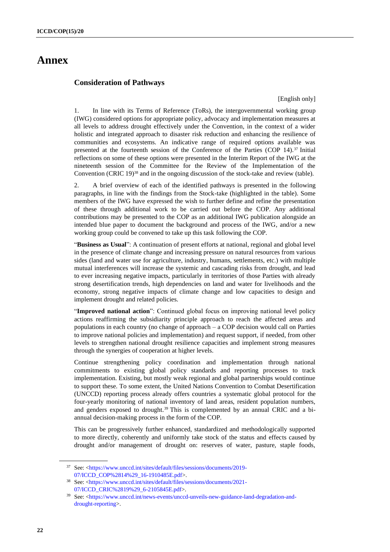# **Annex**

### **Consideration of Pathways**

[English only]

1. In line with its Terms of Reference (ToRs), the intergovernmental working group (IWG) considered options for appropriate policy, advocacy and implementation measures at all levels to address drought effectively under the Convention, in the context of a wider holistic and integrated approach to disaster risk reduction and enhancing the resilience of communities and ecosystems. An indicative range of required options available was presented at the fourteenth session of the Conference of the Parties (COP 14). <sup>37</sup> Initial reflections on some of these options were presented in the Interim Report of the IWG at the nineteenth session of the Committee for the Review of the Implementation of the Convention (CRIC 19) <sup>38</sup> and in the ongoing discussion of the stock-take and review (table).

2. A brief overview of each of the identified pathways is presented in the following paragraphs, in line with the findings from the Stock-take (highlighted in the table). Some members of the IWG have expressed the wish to further define and refine the presentation of these through additional work to be carried out before the COP. Any additional contributions may be presented to the COP as an additional IWG publication alongside an intended blue paper to document the background and process of the IWG, and/or a new working group could be convened to take up this task following the COP.

"**Business as Usual**": A continuation of present efforts at national, regional and global level in the presence of climate change and increasing pressure on natural resources from various sides (land and water use for agriculture, industry, humans, settlements, etc.) with multiple mutual interferences will increase the systemic and cascading risks from drought, and lead to ever increasing negative impacts, particularly in territories of those Parties with already strong desertification trends, high dependencies on land and water for livelihoods and the economy, strong negative impacts of climate change and low capacities to design and implement drought and related policies.

"Improved national action": Continued global focus on improving national level policy actions reaffirming the subsidiarity principle approach to reach the affected areas and populations in each country (no change of approach – a COP decision would call on Parties to improve national policies and implementation) and request support, if needed, from other levels to strengthen national drought resilience capacities and implement strong measures through the synergies of cooperation at higher levels.

Continue strengthening policy coordination and implementation through national commitments to existing global policy standards and reporting processes to track implementation. Existing, but mostly weak regional and global partnerships would continue to support these. To some extent, the United Nations Convention to Combat Desertification (UNCCD) reporting process already offers countries a systematic global protocol for the four-yearly monitoring of national inventory of land areas, resident population numbers, and genders exposed to drought.<sup>39</sup> This is complemented by an annual CRIC and a biannual decision-making process in the form of the COP.

This can be progressively further enhanced, standardized and methodologically supported to more directly, coherently and uniformly take stock of the status and effects caused by drought and/or management of drought on: reserves of water, pasture, staple foods,

<sup>37</sup> See: [<https://www.unccd.int/sites/default/files/sessions/documents/2019-](https://www.unccd.int/sites/default/files/sessions/documents/2019-07/ICCD_COP%2814%29_16-1910485E.pdf) [07/ICCD\\_COP%2814%29\\_16-1910485E.pdf>](https://www.unccd.int/sites/default/files/sessions/documents/2019-07/ICCD_COP%2814%29_16-1910485E.pdf).

<sup>38</sup> See: [<https://www.unccd.int/sites/default/files/sessions/documents/2021-](https://www.unccd.int/sites/default/files/sessions/documents/2021-07/ICCD_CRIC%2819%29_6-2105845E.pdf) [07/ICCD\\_CRIC%2819%29\\_6-2105845E.pdf>](https://www.unccd.int/sites/default/files/sessions/documents/2021-07/ICCD_CRIC%2819%29_6-2105845E.pdf).

<sup>39</sup> See: [<https://www.unccd.int/news-events/unccd-unveils-new-guidance-land-degradation-and](https://www.unccd.int/news-events/unccd-unveils-new-guidance-land-degradation-and-drought-reporting)[drought-reporting>](https://www.unccd.int/news-events/unccd-unveils-new-guidance-land-degradation-and-drought-reporting).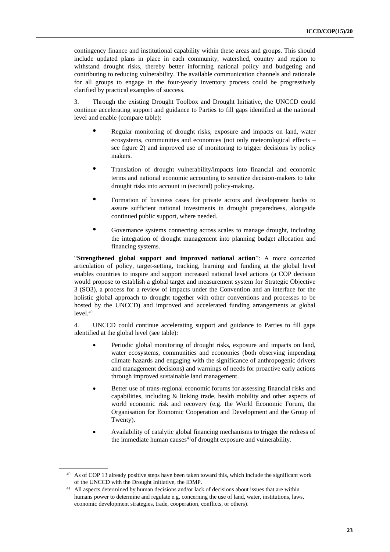contingency finance and institutional capability within these areas and groups. This should include updated plans in place in each community, watershed, country and region to withstand drought risks, thereby better informing national policy and budgeting and contributing to reducing vulnerability. The available communication channels and rationale for all groups to engage in the four-yearly inventory process could be progressively clarified by practical examples of success.

3. Through the existing Drought Toolbox and Drought Initiative, the UNCCD could continue accelerating support and guidance to Parties to fill gaps identified at the national level and enable (compare table):

- **•** Regular monitoring of drought risks, exposure and impacts on land, water ecosystems, communities and economies (not only meteorological effects – see figure 2) and improved use of monitoring to trigger decisions by policy makers.
- **•** Translation of drought vulnerability/impacts into financial and economic terms and national economic accounting to sensitize decision-makers to take drought risks into account in (sectoral) policy-making.
- **•** Formation of business cases for private actors and development banks to assure sufficient national investments in drought preparedness, alongside continued public support, where needed.
- **•** Governance systems connecting across scales to manage drought, including the integration of drought management into planning budget allocation and financing systems.

"**Strengthened global support and improved national action**": A more concerted articulation of policy, target-setting, tracking, learning and funding at the global level enables countries to inspire and support increased national level actions (a COP decision would propose to establish a global target and measurement system for Strategic Objective 3 (SO3), a process for a review of impacts under the Convention and an interface for the holistic global approach to drought together with other conventions and processes to be hosted by the UNCCD) and improved and accelerated funding arrangements at global level. 40

4. UNCCD could continue accelerating support and guidance to Parties to fill gaps identified at the global level (see table):

- Periodic global monitoring of drought risks, exposure and impacts on land, water ecosystems, communities and economies (both observing impending climate hazards and engaging with the significance of anthropogenic drivers and management decisions) and warnings of needs for proactive early actions through improved sustainable land management.
- Better use of trans-regional economic forums for assessing financial risks and capabilities, including & linking trade, health mobility and other aspects of world economic risk and recovery (e.g. the World Economic Forum, the Organisation for Economic Cooperation and Development and the Group of Twenty).
- Availability of catalytic global financing mechanisms to trigger the redress of the immediate human causes $4^{1}$ of drought exposure and vulnerability.

<sup>40</sup> As of COP 13 already positive steps have been taken toward this, which include the significant work of the UNCCD with the Drought Initiative, the IDMP.

<sup>41</sup> All aspects determined by human decisions and/or lack of decisions about issues that are within humans power to determine and regulate e.g. concerning the use of land, water, institutions, laws, economic development strategies, trade, cooperation, conflicts, or others).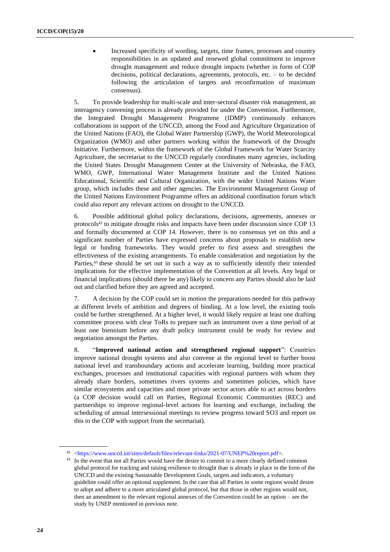• Increased specificity of wording, targets, time frames, processes and country responsibilities in an updated and renewed global commitment to improve drought management and reduce drought impacts (whether in form of COP decisions, political declarations, agreements, protocols, etc. – to be decided following the articulation of targets and reconfirmation of maximum consensus).

5. To provide leadership for multi-scale and inter-sectoral disaster risk management, an interagency convening process is already provided for under the Convention. Furthermore, the Integrated Drought Management Programme (IDMP) continuously enhances collaborations in support of the UNCCD, among the Food and Agriculture Organization of the United Nations (FAO), the Global Water Partnership (GWP), the World Meteorological Organization (WMO) and other partners working within the framework of the Drought Initiative. Furthermore, within the framework of the Global Framework for Water Scarcity Agriculture, the secretariat to the UNCCD regularly coordinates many agencies, including the United States Drought Management Center at the University of Nebraska, the FAO, WMO, GWP, International Water Management Institute and the United Nations Educational, Scientific and Cultural Organization, with the wider United Nations Water group, which includes these and other agencies. The Environment Management Group of the United Nations Environment Programme offers an additional coordination forum which could also report any relevant actions on drought to the UNCCD.

6. Possible additional global policy declarations, decisions, agreements, annexes or protocols<sup>42</sup> to mitigate drought risks and impacts have been under discussion since COP 13 and formally documented at COP 14. However, there is no consensus yet on this and a significant number of Parties have expressed concerns about proposals to establish new legal or funding frameworks. They would prefer to first assess and strengthen the effectiveness of the existing arrangements. To enable consideration and negotiation by the Parties,<sup>43</sup> these should be set out in such a way as to sufficiently identify their intended implications for the effective implementation of the Convention at all levels. Any legal or financial implications (should there be any) likely to concern any Parties should also be laid out and clarified before they are agreed and accepted.

7. A decision by the COP could set in motion the preparations needed for this pathway at different levels of ambition and degrees of binding. At a low level, the existing tools could be further strengthened. At a higher level, it would likely require at least one drafting committee process with clear ToRs to prepare such an instrument over a time period of at least one biennium before any draft policy instrument could be ready for review and negotiation amongst the Parties.

8. "**Improved national action and strengthened regional support**": Countries improve national drought systems and also convene at the regional level to further boost national level and transboundary actions and accelerate learning, building more practical exchanges, processes and institutional capacities with regional partners with whom they already share borders, sometimes rivers systems and sometimes policies, which have similar ecosystems and capacities and more private sector actors able to act across borders (a COP decision would call on Parties, Regional Economic Communities (REC) and partnerships to improve regional-level actions for learning and exchange, including the scheduling of annual intersessional meetings to review progress toward SO3 and report on this to the COP with support from the secretariat).

<sup>42</sup> <https://www.unccd.int/sites/default/files/relevant-links/2021-07/UNEP%20report.pdf>.

<sup>&</sup>lt;sup>43</sup> In the event that not all Parties would have the desire to commit to a more clearly defined common global protocol for tracking and raising resilience to drought than is already in place in the form of the UNCCD and the existing Sustainable Development Goals, targets and indicators, a voluntary guideline could offer an optional supplement. In the case that all Parties in some regions would desire to adopt and adhere to a more articulated global protocol, but that those in other regions would not, then an amendment to the relevant regional annexes of the Convention could be an option – see the study by UNEP mentioned in previous note.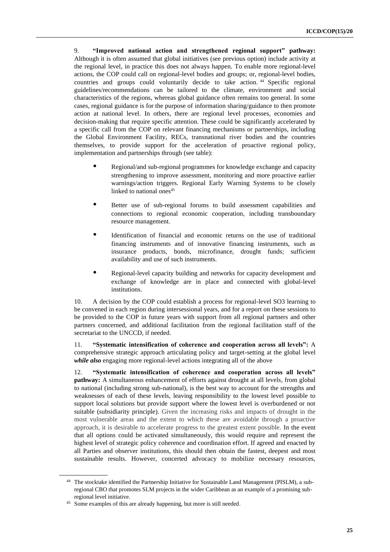9. **"Improved national action and strengthened regional support" pathway:**  Although it is often assumed that global initiatives (see previous option) include activity at the regional level, in practice this does not always happen. To enable more regional-level actions, the COP could call on regional-level bodies and groups; or, regional-level bodies, countries and groups could voluntarily decide to take action. <sup>44</sup> Specific regional guidelines/recommendations can be tailored to the climate, environment and social characteristics of the regions, whereas global guidance often remains too general. In some cases, regional guidance is for the purpose of information sharing/guidance to then promote action at national level. In others, there are regional level processes, economies and decision-making that require specific attention. These could be significantly accelerated by a specific call from the COP on relevant financing mechanisms or partnerships, including the Global Environment Facility, RECs, transnational river bodies and the countries themselves, to provide support for the acceleration of proactive regional policy, implementation and partnerships through (see table):

- **•** Regional/and sub-regional programmes for knowledge exchange and capacity strengthening to improve assessment, monitoring and more proactive earlier warnings/action triggers. Regional Early Warning Systems to be closely linked to national ones<sup>45</sup>
- Better use of sub-regional forums to build assessment capabilities and connections to regional economic cooperation, including transboundary resource management.
- **•** Identification of financial and economic returns on the use of traditional financing instruments and of innovative financing instruments, such as insurance products, bonds, microfinance, drought funds; sufficient availability and use of such instruments.
- **•** Regional-level capacity building and networks for capacity development and exchange of knowledge are in place and connected with global-level institutions.

10. A decision by the COP could establish a process for regional-level SO3 learning to be convened in each region during intersessional years, and for a report on these sessions to be provided to the COP in future years with support from all regional partners and other partners concerned, and additional facilitation from the regional facilitation staff of the secretariat to the UNCCD, if needed.

11. **"Systematic intensification of coherence and cooperation across all levels":** A comprehensive strategic approach articulating policy and target-setting at the global level *while also* engaging more regional-level actions integrating all of the above

12. **"Systematic intensification of coherence and cooperation across all levels" pathway:** A simultaneous enhancement of efforts against drought at all levels, from global to national (including strong sub-national), is the best way to account for the strengths and weaknesses of each of these levels, leaving responsibility to the lowest level possible to support local solutions but provide support where the lowest level is overburdened or not suitable (subsidiarity principle). Given the increasing risks and impacts of drought in the most vulnerable areas and the extent to which these are avoidable through a proactive approach, it is desirable to accelerate progress to the greatest extent possible. In the event that all options could be activated simultaneously, this would require and represent the highest level of strategic policy coherence and coordination effort. If agreed and enacted by all Parties and observer institutions, this should then obtain the fastest, deepest and most sustainable results. However, concerted advocacy to mobilize necessary resources,

<sup>44</sup> The stocktake identified the Partnership Initiative for Sustainable Land Management (PISLM), a subregional CBO that promotes SLM projects in the wider Caribbean as an example of a promising subregional level initiative.

<sup>&</sup>lt;sup>45</sup> Some examples of this are already happening, but more is still needed.